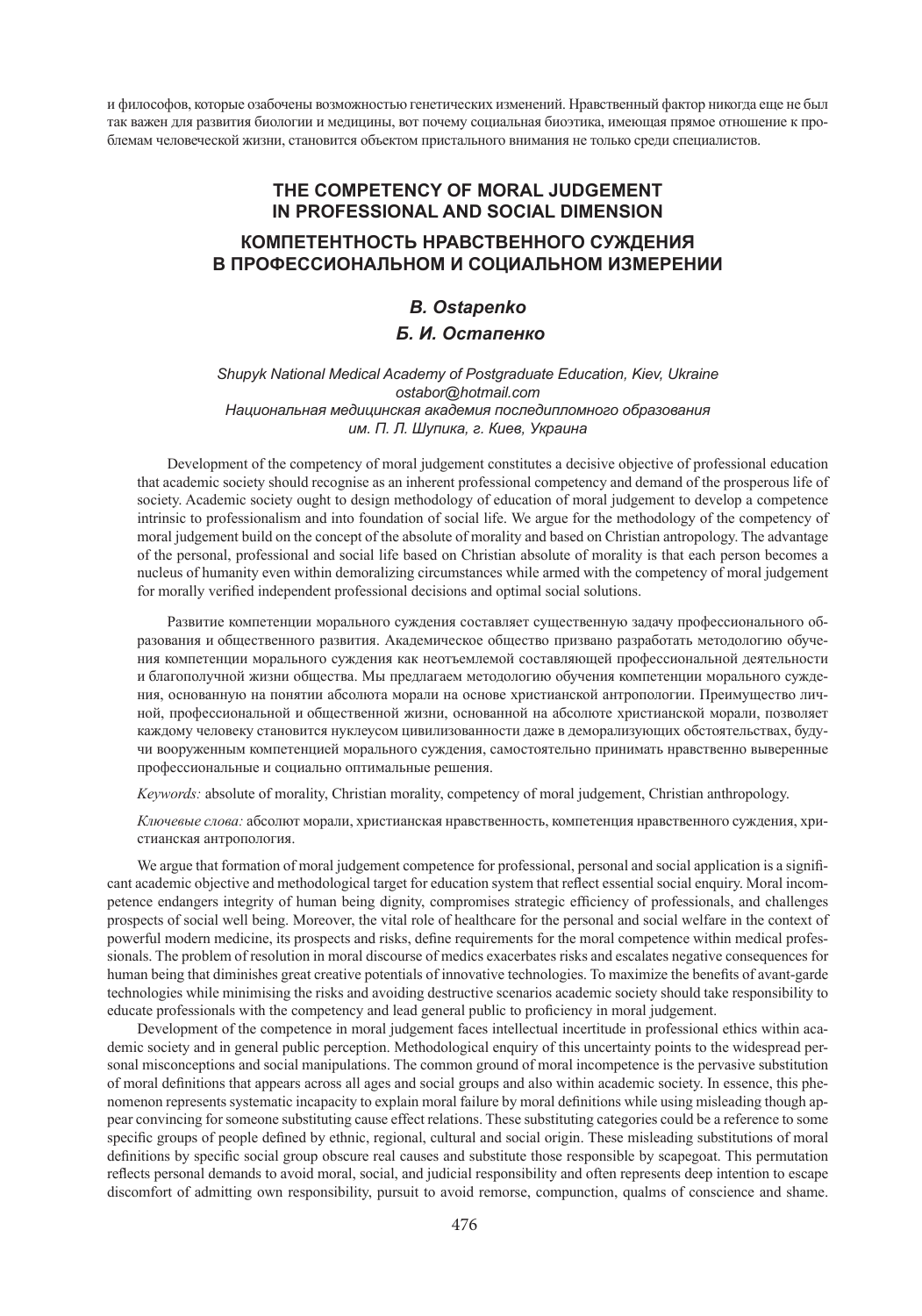и философов, которые озабочены возможностью генетических изменений. Нравственный фактор никогда еще не был так важен для развития биологии и медицины, вот почему социальная биоэтика, имеющая прямое отношение к проблемам человеческой жизни, становится объектом пристального внимания не только среди специалистов.

# **THE COMPETENCY OF MORAL JUDGEMENT IN PROFESSIONAL AND SOCIAL DIMENSION КОМПЕТЕНТНОСТЬ НРАВСТВЕННОГО СУЖДЕНИЯ В ПРОФЕССИОНАЛЬНОМ И СОЦИАЛЬНОМ ИЗМЕРЕНИИ**

# *B. Ostapenko Б. И. Остапенко*

### *Shupyk National Medical Academy of Postgraduate Education, Kiev, Ukraine ostabor@hotmail.com Национальная медицинская академия последипломного образования им. П. Л. Шупика, г. Киев, Украина*

Development of the competency of moral judgement constitutes a decisive objective of professional education that academic society should recognise as an inherent professional competency and demand of the prosperous life of society. Academic society ought to design methodology of education of moral judgement to develop a competence intrinsic to professionalism and into foundation of social life. We argue for the methodology of the competency of moral judgement build on the concept of the absolute of morality and based on Christian antropology. The advantage of the personal, professional and social life based on Christian absolute of morality is that each person becomes a nucleus of humanity even within demoralizing circumstances while armed with the competency of moral judgement for morally verified independent professional decisions and optimal social solutions.

Развитие компетенции морального суждения составляет существенную задачу профессионального образования и общественного развития. Академическое общество призвано разработать методологию обучения компетенции морального суждения как неотъемлемой составляющей профессиональной деятельности и благополучной жизни общества. Мы предлагаем методологию обучения компетенции морального суждения, основанную на понятии абсолюта морали на основе христианской антропологии. Преимущество личной, профессиональной и общественной жизни, основанной на абсолюте христианской морали, позволяет каждому человеку становится нуклеусом цивилизованности даже в деморализующих обстоятельствах, будучи вооруженным компетенцией морального суждения, самостоятельно принимать нравственно выверенные профессиональные и социально оптимальные решения.

*Keywords:* absolute of morality, Christian morality, competency of moral judgement, Christian anthropology.

*Ключевые слова:* абсолют морали, христианская нравственность, компетенция нравственного суждения, христианская антропология.

We argue that formation of moral judgement competence for professional, personal and social application is a significant academic objective and methodological target for education system that reflect essential social enquiry. Moral incompetence endangers integrity of human being dignity, compromises strategic efficiency of professionals, and challenges prospects of social well being. Moreover, the vital role of healthcare for the personal and social welfare in the context of powerful modern medicine, its prospects and risks, define requirements for the moral competence within medical professionals. The problem of resolution in moral discourse of medics exacerbates risks and escalates negative consequences for human being that diminishes great creative potentials of innovative technologies. To maximize the benefits of avant-garde technologies while minimising the risks and avoiding destructive scenarios academic society should take responsibility to educate professionals with the competency and lead general public to proficiency in moral judgement.

Development of the competence in moral judgement faces intellectual incertitude in professional ethics within academic society and in general public perception. Methodological enquiry of this uncertainty points to the widespread personal misconceptions and social manipulations. The common ground of moral incompetence is the pervasive substitution of moral definitions that appears across all ages and social groups and also within academic society. In essence, this phenomenon represents systematic incapacity to explain moral failure by moral definitions while using misleading though appear convincing for someone substituting cause effect relations. These substituting categories could be a reference to some specific groups of people defined by ethnic, regional, cultural and social origin. These misleading substitutions of moral definitions by specific social group obscure real causes and substitute those responsible by scapegoat. This permutation reflects personal demands to avoid moral, social, and judicial responsibility and often represents deep intention to escape discomfort of admitting own responsibility, pursuit to avoid remorse, compunction, qualms of conscience and shame.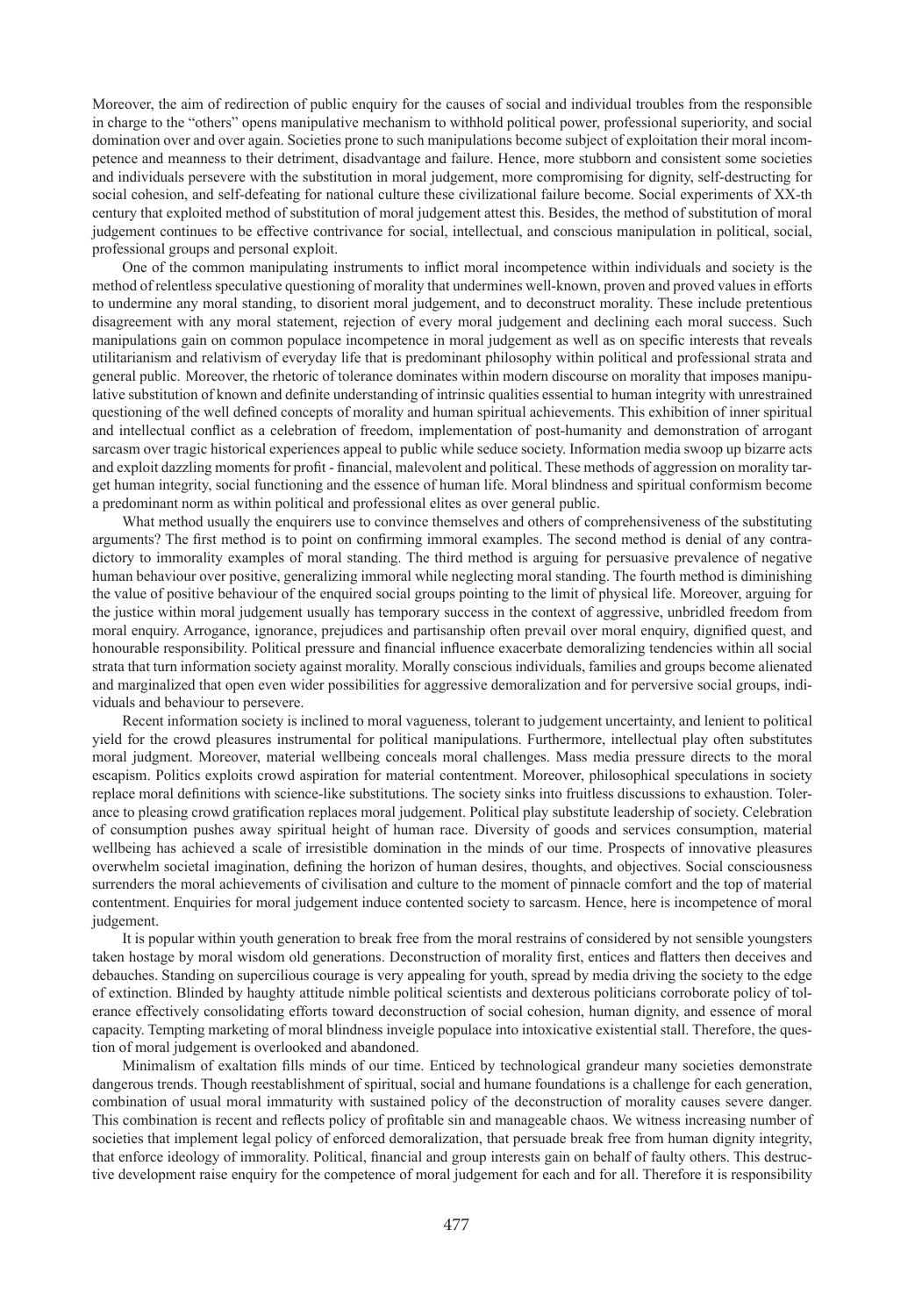Moreover, the aim of redirection of public enquiry for the causes of social and individual troubles from the responsible in charge to the "others" opens manipulative mechanism to withhold political power, professional superiority, and social domination over and over again. Societies prone to such manipulations become subject of exploitation their moral incompetence and meanness to their detriment, disadvantage and failure. Hence, more stubborn and consistent some societies and individuals persevere with the substitution in moral judgement, more compromising for dignity, self-destructing for social cohesion, and self-defeating for national culture these civilizational failure become. Social experiments of XX-th century that exploited method of substitution of moral judgement attest this. Besides, the method of substitution of moral judgement continues to be effective contrivance for social, intellectual, and conscious manipulation in political, social, professional groups and personal exploit.

One of the common manipulating instruments to inflict moral incompetence within individuals and society is the method of relentless speculative questioning of morality that undermines well-known, proven and proved values in efforts to undermine any moral standing, to disorient moral judgement, and to deconstruct morality. These include pretentious disagreement with any moral statement, rejection of every moral judgement and declining each moral success. Such manipulations gain on common populace incompetence in moral judgement as well as on specific interests that reveals utilitarianism and relativism of everyday life that is predominant philosophy within political and professional strata and general public. Moreover, the rhetoric of tolerance dominates within modern discourse on morality that imposes manipulative substitution of known and definite understanding of intrinsic qualities essential to human integrity with unrestrained questioning of the well defined concepts of morality and human spiritual achievements. This exhibition of inner spiritual and intellectual conflict as a celebration of freedom, implementation of post-humanity and demonstration of arrogant sarcasm over tragic historical experiences appeal to public while seduce society. Information media swoop up bizarre acts and exploit dazzling moments for profit - financial, malevolent and political. These methods of aggression on morality target human integrity, social functioning and the essence of human life. Moral blindness and spiritual conformism become a predominant norm as within political and professional elites as over general public.

What method usually the enquirers use to convince themselves and others of comprehensiveness of the substituting arguments? The first method is to point on confirming immoral examples. The second method is denial of any contradictory to immorality examples of moral standing. The third method is arguing for persuasive prevalence of negative human behaviour over positive, generalizing immoral while neglecting moral standing. The fourth method is diminishing the value of positive behaviour of the enquired social groups pointing to the limit of physical life. Moreover, arguing for the justice within moral judgement usually has temporary success in the context of aggressive, unbridled freedom from moral enquiry. Arrogance, ignorance, prejudices and partisanship often prevail over moral enquiry, dignified quest, and honourable responsibility. Political pressure and financial influence exacerbate demoralizing tendencies within all social strata that turn information society against morality. Morally conscious individuals, families and groups become alienated and marginalized that open even wider possibilities for aggressive demoralization and for perversive social groups, individuals and behaviour to persevere.

Recent information society is inclined to moral vagueness, tolerant to judgement uncertainty, and lenient to political yield for the crowd pleasures instrumental for political manipulations. Furthermore, intellectual play often substitutes moral judgment. Moreover, material wellbeing conceals moral challenges. Mass media pressure directs to the moral escapism. Politics exploits crowd aspiration for material contentment. Moreover, philosophical speculations in society replace moral definitions with science-like substitutions. The society sinks into fruitless discussions to exhaustion. Tolerance to pleasing crowd gratification replaces moral judgement. Political play substitute leadership of society. Celebration of consumption pushes away spiritual height of human race. Diversity of goods and services consumption, material wellbeing has achieved a scale of irresistible domination in the minds of our time. Prospects of innovative pleasures overwhelm societal imagination, defining the horizon of human desires, thoughts, and objectives. Social consciousness surrenders the moral achievements of civilisation and culture to the moment of pinnacle comfort and the top of material contentment. Enquiries for moral judgement induce contented society to sarcasm. Hence, here is incompetence of moral judgement.

It is popular within youth generation to break free from the moral restrains of considered by not sensible youngsters taken hostage by moral wisdom old generations. Deconstruction of morality first, entices and flatters then deceives and debauches. Standing on supercilious courage is very appealing for youth, spread by media driving the society to the edge of extinction. Blinded by haughty attitude nimble political scientists and dexterous politicians corroborate policy of tolerance effectively consolidating efforts toward deconstruction of social cohesion, human dignity, and essence of moral capacity. Tempting marketing of moral blindness inveigle populace into intoxicative existential stall. Therefore, the question of moral judgement is overlooked and abandoned.

Minimalism of exaltation fills minds of our time. Enticed by technological grandeur many societies demonstrate dangerous trends. Though reestablishment of spiritual, social and humane foundations is a challenge for each generation, combination of usual moral immaturity with sustained policy of the deconstruction of morality causes severe danger. This combination is recent and reflects policy of profitable sin and manageable chaos. We witness increasing number of societies that implement legal policy of enforced demoralization, that persuade break free from human dignity integrity, that enforce ideology of immorality. Political, financial and group interests gain on behalf of faulty others. This destructive development raise enquiry for the competence of moral judgement for each and for all. Therefore it is responsibility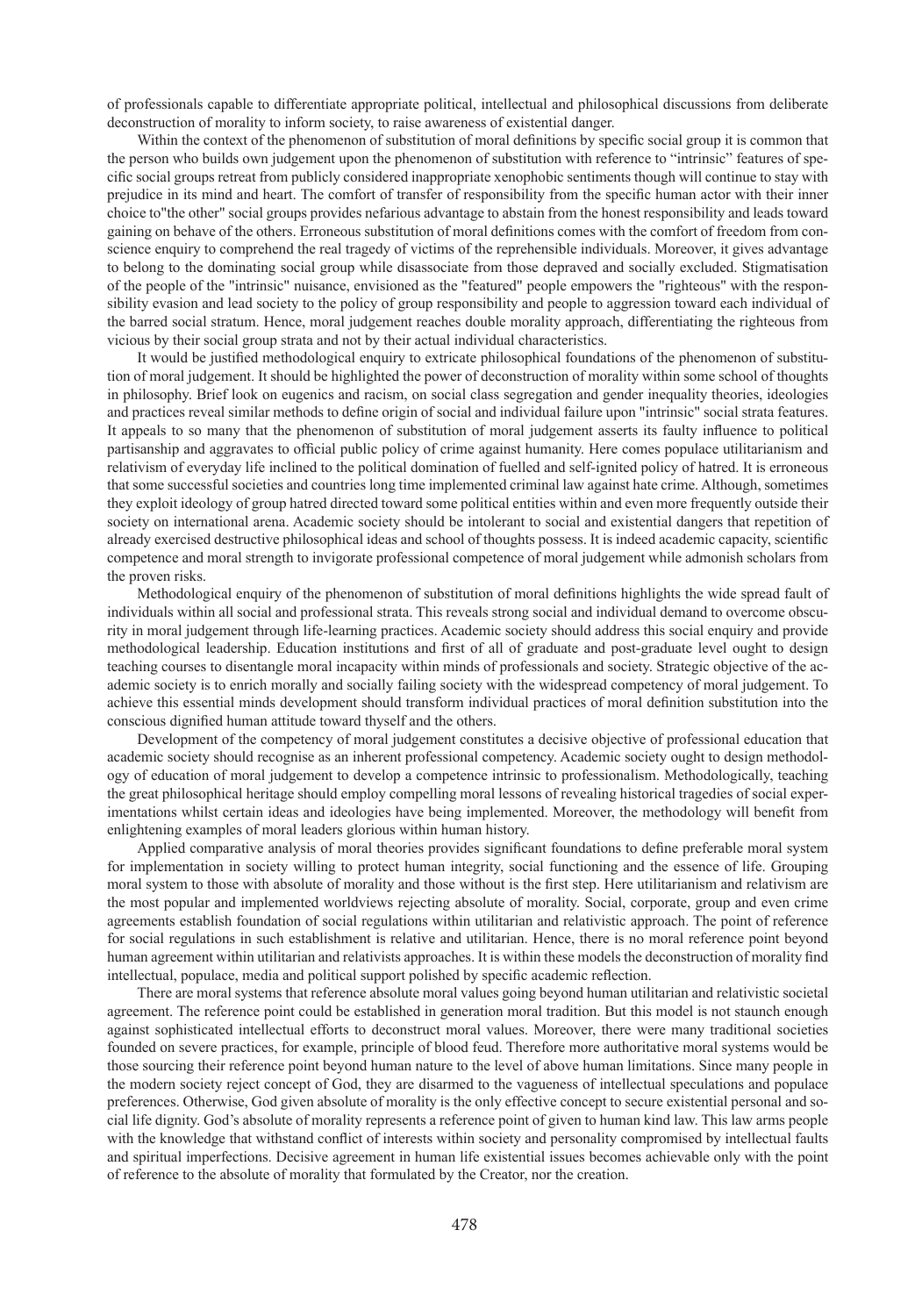of professionals capable to differentiate appropriate political, intellectual and philosophical discussions from deliberate deconstruction of morality to inform society, to raise awareness of existential danger.

Within the context of the phenomenon of substitution of moral definitions by specific social group it is common that the person who builds own judgement upon the phenomenon of substitution with reference to "intrinsic" features of specific social groups retreat from publicly considered inappropriate xenophobic sentiments though will continue to stay with prejudice in its mind and heart. The comfort of transfer of responsibility from the specific human actor with their inner choice to"the other" social groups provides nefarious advantage to abstain from the honest responsibility and leads toward gaining on behave of the others. Erroneous substitution of moral definitions comes with the comfort of freedom from conscience enquiry to comprehend the real tragedy of victims of the reprehensible individuals. Moreover, it gives advantage to belong to the dominating social group while disassociate from those depraved and socially excluded. Stigmatisation of the people of the "intrinsic" nuisance, envisioned as the "featured" people empowers the "righteous" with the responsibility evasion and lead society to the policy of group responsibility and people to aggression toward each individual of the barred social stratum. Hence, moral judgement reaches double morality approach, differentiating the righteous from vicious by their social group strata and not by their actual individual characteristics.

It would be justified methodological enquiry to extricate philosophical foundations of the phenomenon of substitution of moral judgement. It should be highlighted the power of deconstruction of morality within some school of thoughts in philosophy. Brief look on eugenics and racism, on social class segregation and gender inequality theories, ideologies and practices reveal similar methods to define origin of social and individual failure upon "intrinsic" social strata features. It appeals to so many that the phenomenon of substitution of moral judgement asserts its faulty influence to political partisanship and aggravates to official public policy of crime against humanity. Here comes populace utilitarianism and relativism of everyday life inclined to the political domination of fuelled and self-ignited policy of hatred. It is erroneous that some successful societies and countries long time implemented criminal law against hate crime. Although, sometimes they exploit ideology of group hatred directed toward some political entities within and even more frequently outside their society on international arena. Academic society should be intolerant to social and existential dangers that repetition of already exercised destructive philosophical ideas and school of thoughts possess. It is indeed academic capacity, scientific competence and moral strength to invigorate professional competence of moral judgement while admonish scholars from the proven risks.

Methodological enquiry of the phenomenon of substitution of moral definitions highlights the wide spread fault of individuals within all social and professional strata. This reveals strong social and individual demand to overcome obscurity in moral judgement through life-learning practices. Academic society should address this social enquiry and provide methodological leadership. Education institutions and first of all of graduate and post-graduate level ought to design teaching courses to disentangle moral incapacity within minds of professionals and society. Strategic objective of the academic society is to enrich morally and socially failing society with the widespread competency of moral judgement. To achieve this essential minds development should transform individual practices of moral definition substitution into the conscious dignified human attitude toward thyself and the others.

Development of the competency of moral judgement constitutes a decisive objective of professional education that academic society should recognise as an inherent professional competency. Academic society ought to design methodology of education of moral judgement to develop a competence intrinsic to professionalism. Methodologically, teaching the great philosophical heritage should employ compelling moral lessons of revealing historical tragedies of social experimentations whilst certain ideas and ideologies have being implemented. Moreover, the methodology will benefit from enlightening examples of moral leaders glorious within human history.

Applied comparative analysis of moral theories provides significant foundations to define preferable moral system for implementation in society willing to protect human integrity, social functioning and the essence of life. Grouping moral system to those with absolute of morality and those without is the first step. Here utilitarianism and relativism are the most popular and implemented worldviews rejecting absolute of morality. Social, corporate, group and even crime agreements establish foundation of social regulations within utilitarian and relativistic approach. The point of reference for social regulations in such establishment is relative and utilitarian. Hence, there is no moral reference point beyond human agreement within utilitarian and relativists approaches. It is within these models the deconstruction of morality find intellectual, populace, media and political support polished by specific academic reflection.

There are moral systems that reference absolute moral values going beyond human utilitarian and relativistic societal agreement. The reference point could be established in generation moral tradition. But this model is not staunch enough against sophisticated intellectual efforts to deconstruct moral values. Moreover, there were many traditional societies founded on severe practices, for example, principle of blood feud. Therefore more authoritative moral systems would be those sourcing their reference point beyond human nature to the level of above human limitations. Since many people in the modern society reject concept of God, they are disarmed to the vagueness of intellectual speculations and populace preferences. Otherwise, God given absolute of morality is the only effective concept to secure existential personal and social life dignity. God's absolute of morality represents a reference point of given to human kind law. This law arms people with the knowledge that withstand conflict of interests within society and personality compromised by intellectual faults and spiritual imperfections. Decisive agreement in human life existential issues becomes achievable only with the point of reference to the absolute of morality that formulated by the Creator, nor the creation.